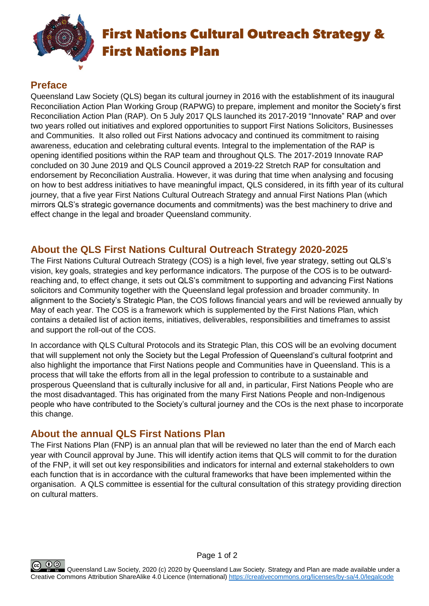

## First Nations Cultural Outreach Strategy & First Nations Plan

### **Preface**

Queensland Law Society (QLS) began its cultural journey in 2016 with the establishment of its inaugural Reconciliation Action Plan Working Group (RAPWG) to prepare, implement and monitor the Society's first Reconciliation Action Plan (RAP). On 5 July 2017 QLS launched its 2017-2019 "Innovate" RAP and over two years rolled out initiatives and explored opportunities to support First Nations Solicitors, Businesses and Communities. It also rolled out First Nations advocacy and continued its commitment to raising awareness, education and celebrating cultural events. Integral to the implementation of the RAP is opening identified positions within the RAP team and throughout QLS. The 2017-2019 Innovate RAP concluded on 30 June 2019 and QLS Council approved a 2019-22 Stretch RAP for consultation and endorsement by Reconciliation Australia. However, it was during that time when analysing and focusing on how to best address initiatives to have meaningful impact, QLS considered, in its fifth year of its cultural journey, that a five year First Nations Cultural Outreach Strategy and annual First Nations Plan (which mirrors QLS's strategic governance documents and commitments) was the best machinery to drive and effect change in the legal and broader Queensland community.

#### **About the QLS First Nations Cultural Outreach Strategy 2020-2025**

The First Nations Cultural Outreach Strategy (COS) is a high level, five year strategy, setting out QLS's vision, key goals, strategies and key performance indicators. The purpose of the COS is to be outwardreaching and, to effect change, it sets out QLS's commitment to supporting and advancing First Nations solicitors and Community together with the Queensland legal profession and broader community. In alignment to the Society's Strategic Plan, the COS follows financial years and will be reviewed annually by May of each year. The COS is a framework which is supplemented by the First Nations Plan, which contains a detailed list of action items, initiatives, deliverables, responsibilities and timeframes to assist and support the roll-out of the COS.

In accordance with QLS Cultural Protocols and its Strategic Plan, this COS will be an evolving document that will supplement not only the Society but the Legal Profession of Queensland's cultural footprint and also highlight the importance that First Nations people and Communities have in Queensland. This is a process that will take the efforts from all in the legal profession to contribute to a sustainable and prosperous Queensland that is culturally inclusive for all and, in particular, First Nations People who are the most disadvantaged. This has originated from the many First Nations People and non-Indigenous people who have contributed to the Society's cultural journey and the COs is the next phase to incorporate this change.

#### **About the annual QLS First Nations Plan**

The First Nations Plan (FNP) is an annual plan that will be reviewed no later than the end of March each year with Council approval by June. This will identify action items that QLS will commit to for the duration of the FNP, it will set out key responsibilities and indicators for internal and external stakeholders to own each function that is in accordance with the cultural frameworks that have been implemented within the organisation. A QLS committee is essential for the cultural consultation of this strategy providing direction on cultural matters.